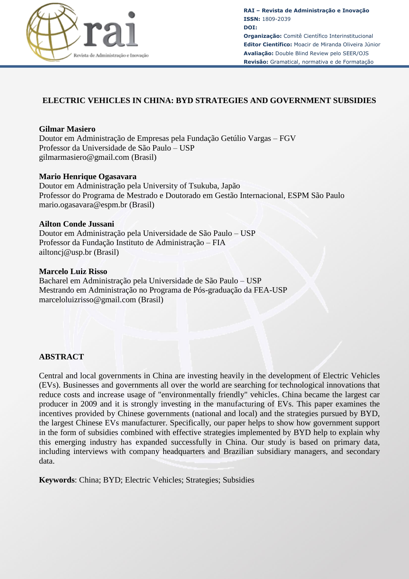

**RAI – Revista de Administração e Inovação ISSN:** 1809-2039 **DOI: Organização:** Comitê Científico Interinstitucional **Editor Científico:** Moacir de Miranda Oliveira Júnior **Avaliação:** Double Blind Review pelo SEER/OJS **Revisão:** Gramatical, normativa e de Formatação

# **ELECTRIC VEHICLES IN CHINA: BYD STRATEGIES AND GOVERNMENT SUBSIDIES**

## **Gilmar Masiero**

Doutor em Administração de Empresas pela Fundação Getúlio Vargas – FGV Professor da Universidade de São Paulo – USP [gilmarmasiero@gmail.com](mailto:gilmarmasiero@gmail.com) (Brasil)

## **Mario Henrique Ogasavara**

Doutor em Administração pela University of Tsukuba, Japão Professor do Programa de Mestrado e Doutorado em Gestão Internacional, ESPM São Paulo [mario.ogasavara@espm.br](mailto:mario.ogasavara@espm.br) (Brasil)

## **Ailton Conde Jussani**

Doutor em Administração pela Universidade de São Paulo – USP Professor da Fundação Instituto de Administração – FIA [ailtoncj@usp.br](mailto:ailtoncj@usp.br) (Brasil)

## **Marcelo Luiz Risso**

Bacharel em Administração pela Universidade de São Paulo – USP Mestrando em Administração no Programa de Pós-graduação da FEA-USP [marceloluizrisso@gmail.com](mailto:marceloluizrisso@gmail.com) (Brasil)

## **ABSTRACT**

Central and local governments in China are investing heavily in the development of Electric Vehicles (EVs). Businesses and governments all over the world are searching for technological innovations that reduce costs and increase usage of "environmentally friendly" vehicles. China became the largest car producer in 2009 and it is strongly investing in the manufacturing of EVs. This paper examines the incentives provided by Chinese governments (national and local) and the strategies pursued by BYD, the largest Chinese EVs manufacturer. Specifically, our paper helps to show how government support in the form of subsidies combined with effective strategies implemented by BYD help to explain why this emerging industry has expanded successfully in China. Our study is based on primary data, including interviews with company headquarters and Brazilian subsidiary managers, and secondary data.

**Keywords**: China; BYD; Electric Vehicles; Strategies; Subsidies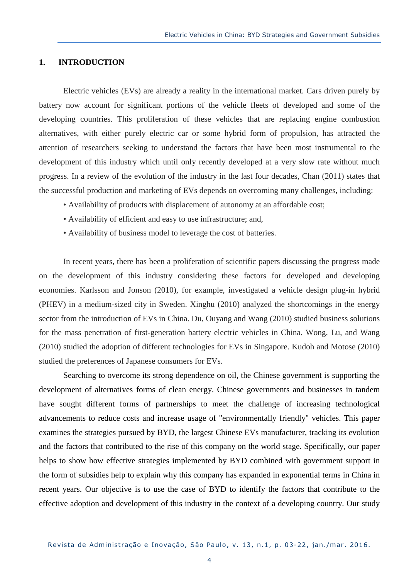#### **1. INTRODUCTION**

Electric vehicles (EVs) are already a reality in the international market. Cars driven purely by battery now account for significant portions of the vehicle fleets of developed and some of the developing countries. This proliferation of these vehicles that are replacing engine combustion alternatives, with either purely electric car or some hybrid form of propulsion, has attracted the attention of researchers seeking to understand the factors that have been most instrumental to the development of this industry which until only recently developed at a very slow rate without much progress. In a review of the evolution of the industry in the last four decades, Chan (2011) states that the successful production and marketing of EVs depends on overcoming many challenges, including:

- Availability of products with displacement of autonomy at an affordable cost;
- Availability of efficient and easy to use infrastructure; and,
- Availability of business model to leverage the cost of batteries.

In recent years, there has been a proliferation of scientific papers discussing the progress made on the development of this industry considering these factors for developed and developing economies. Karlsson and Jonson (2010), for example, investigated a vehicle design plug-in hybrid (PHEV) in a medium-sized city in Sweden. Xinghu (2010) analyzed the shortcomings in the energy sector from the introduction of EVs in China. Du, Ouyang and Wang (2010) studied business solutions for the mass penetration of first-generation battery electric vehicles in China. Wong, Lu, and Wang (2010) studied the adoption of different technologies for EVs in Singapore. Kudoh and Motose (2010) studied the preferences of Japanese consumers for EVs.

Searching to overcome its strong dependence on oil, the Chinese government is supporting the development of alternatives forms of clean energy. Chinese governments and businesses in tandem have sought different forms of partnerships to meet the challenge of increasing technological advancements to reduce costs and increase usage of "environmentally friendly" vehicles. This paper examines the strategies pursued by BYD, the largest Chinese EVs manufacturer, tracking its evolution and the factors that contributed to the rise of this company on the world stage. Specifically, our paper helps to show how effective strategies implemented by BYD combined with government support in the form of subsidies help to explain why this company has expanded in exponential terms in China in recent years. Our objective is to use the case of BYD to identify the factors that contribute to the effective adoption and development of this industry in the context of a developing country. Our study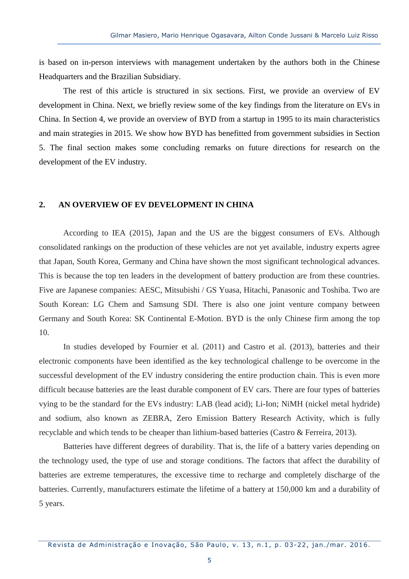is based on in-person interviews with management undertaken by the authors both in the Chinese Headquarters and the Brazilian Subsidiary.

The rest of this article is structured in six sections. First, we provide an overview of EV development in China. Next, we briefly review some of the key findings from the literature on EVs in China. In Section 4, we provide an overview of BYD from a startup in 1995 to its main characteristics and main strategies in 2015. We show how BYD has benefitted from government subsidies in Section 5. The final section makes some concluding remarks on future directions for research on the development of the EV industry.

## **2. AN OVERVIEW OF EV DEVELOPMENT IN CHINA**

According to IEA (2015), Japan and the US are the biggest consumers of EVs. Although consolidated rankings on the production of these vehicles are not yet available, industry experts agree that Japan, South Korea, Germany and China have shown the most significant technological advances. This is because the top ten leaders in the development of battery production are from these countries. Five are Japanese companies: AESC, Mitsubishi / GS Yuasa, Hitachi, Panasonic and Toshiba. Two are South Korean: LG Chem and Samsung SDI. There is also one joint venture company between Germany and South Korea: SK Continental E-Motion. BYD is the only Chinese firm among the top 10.

In studies developed by Fournier et al. (2011) and Castro et al. (2013), batteries and their electronic components have been identified as the key technological challenge to be overcome in the successful development of the EV industry considering the entire production chain. This is even more difficult because batteries are the least durable component of EV cars. There are four types of batteries vying to be the standard for the EVs industry: LAB (lead acid); Li-Ion; NiMH (nickel metal hydride) and sodium, also known as ZEBRA, Zero Emission Battery Research Activity, which is fully recyclable and which tends to be cheaper than lithium-based batteries (Castro & Ferreira, 2013).

Batteries have different degrees of durability. That is, the life of a battery varies depending on the technology used, the type of use and storage conditions. The factors that affect the durability of batteries are extreme temperatures, the excessive time to recharge and completely discharge of the batteries. Currently, manufacturers estimate the lifetime of a battery at 150,000 km and a durability of 5 years.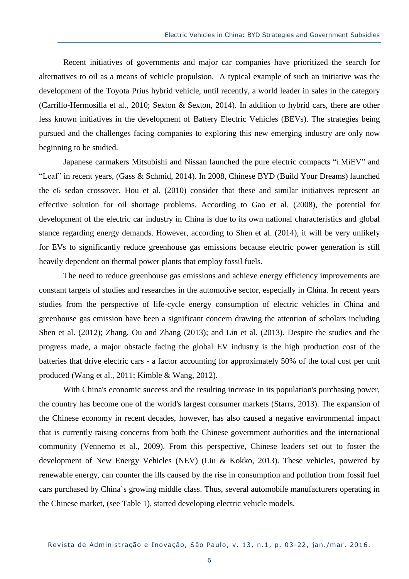Recent initiatives of governments and major car companies have prioritized the search for alternatives to oil as a means of vehicle propulsion. A typical example of such an initiative was the development of the Toyota Prius hybrid vehicle, until recently, a world leader in sales in the category (Carrillo-Hermosilla et al., 2010; Sexton & Sexton, 2014). In addition to hybrid cars, there are other less known initiatives in the development of Battery Electric Vehicles (BEVs). The strategies being pursued and the challenges facing companies to exploring this new emerging industry are only now beginning to be studied.

Japanese carmakers Mitsubishi and Nissan launched the pure electric compacts "i.MiEV" and "Leaf" in recent years, (Gass & Schmid, 2014). In 2008, Chinese BYD (Build Your Dreams) launched the e6 sedan crossover. Hou et al. (2010) consider that these and similar initiatives represent an effective solution for oil shortage problems. According to Gao et al. (2008), the potential for development of the electric car industry in China is due to its own national characteristics and global stance regarding energy demands. However, according to Shen et al. (2014), it will be very unlikely for EVs to significantly reduce greenhouse gas emissions because electric power generation is still heavily dependent on thermal power plants that employ fossil fuels.

The need to reduce greenhouse gas emissions and achieve energy efficiency improvements are constant targets of studies and researches in the automotive sector, especially in China. In recent years studies from the perspective of life-cycle energy consumption of electric vehicles in China and greenhouse gas emission have been a significant concern drawing the attention of scholars including Shen et al. (2012); Zhang, Ou and Zhang (2013); and Lin et al. (2013). Despite the studies and the progress made, a major obstacle facing the global EV industry is the high production cost of the batteries that drive electric cars - a factor accounting for approximately 50% of the total cost per unit produced (Wang et al., 2011; Kimble & Wang, 2012).

With China's economic success and the resulting increase in its population's purchasing power, the country has become one of the world's largest consumer markets (Starrs, 2013). The expansion of the Chinese economy in recent decades, however, has also caused a negative environmental impact that is currently raising concerns from both the Chinese government authorities and the international community (Vennemo et al.*,* 2009). From this perspective, Chinese leaders set out to foster the development of New Energy Vehicles (NEV) (Liu & Kokko, 2013). These vehicles, powered by renewable energy, can counter the ills caused by the rise in consumption and pollution from fossil fuel cars purchased by China`s growing middle class. Thus, several automobile manufacturers operating in the Chinese market, (see Table 1), started developing electric vehicle models.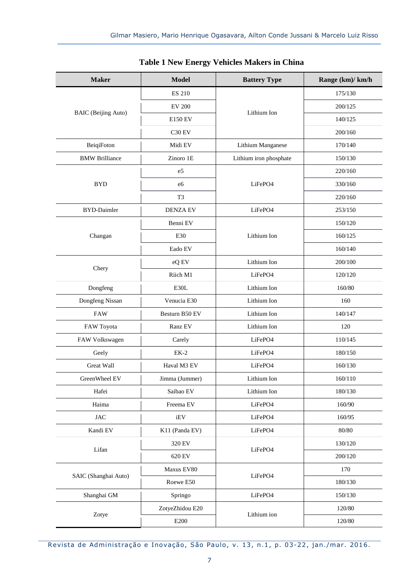| <b>Maker</b>               | <b>Model</b>           | <b>Battery Type</b>    | Range (km)/ km/h |
|----------------------------|------------------------|------------------------|------------------|
|                            | <b>ES 210</b>          |                        | 175/130          |
|                            | <b>EV 200</b>          |                        | 200/125          |
| <b>BAIC</b> (Beijing Auto) | E150 EV                | Lithium Ion            | 140/125          |
|                            | C30 EV                 |                        | 200/160          |
| BeiqiFoton                 | Midi EV                | Lithium Manganese      | 170/140          |
| <b>BMW</b> Brilliance      | Zinoro 1E              | Lithium iron phosphate | 150/130          |
|                            | e <sub>5</sub>         |                        | 220/160          |
| <b>BYD</b>                 | e6                     | LiFePO4                | 330/160          |
|                            | T <sub>3</sub>         |                        | 220/160          |
| <b>BYD-Daimler</b>         | <b>DENZA EV</b>        | LiFePO4                | 253/150          |
|                            | Benni EV               |                        | 150/120          |
| Changan                    | E30                    | Lithium Ion            | 160/125          |
|                            | Eado EV                |                        | 160/140          |
|                            | eQ EV                  | Lithium Ion            | 200/100          |
| Chery                      | Riich M1               | LiFePO4                | 120/120          |
| Dongfeng                   | E30L                   | Lithium Ion            | 160/80           |
| Dongfeng Nissan            | Venucia E30            | Lithium Ion            | 160              |
| <b>FAW</b>                 | Besturn B50 EV         | Lithium Ion            | 140/147          |
| FAW Toyota                 | Ranz EV                | Lithium Ion            | 120              |
| FAW Volkswagen             | Carely                 | LiFePO4                | 110/145          |
| Geely                      | $EK-2$                 | LiFePO4                | 180/150          |
| Great Wall                 | Haval M3 EV<br>LiFePO4 |                        | 160/130          |
| GreenWheel EV              | Jimma (Jummer)         | Lithium Ion            | 160/110          |
| Hafei                      | Saibao EV              | Lithium Ion            | 180/130          |
| Haima                      | Freema EV              | LiFePO4                | 160/90           |
| $\rm JAC$                  | iEV                    | LiFePO4                | 160/95           |
| Kandi EV                   | K11 (Panda EV)         | LiFePO4                | 80/80            |
| Lifan                      | 320 EV                 | LiFePO4                | 130/120          |
|                            | 620 EV                 |                        | 200/120          |
|                            | Maxus EV80             |                        | 170              |
| SAIC (Shanghai Auto)       | Roewe E50              | LiFePO4                | 180/130          |
| Shanghai GM                | Springo                | LiFePO4                | 150/130          |
|                            | ZotyeZhidou E20        |                        | 120/80           |
| Zotye                      | E200                   | Lithium ion            | $120/80\,$       |

**Table 1 New Energy Vehicles Makers in China**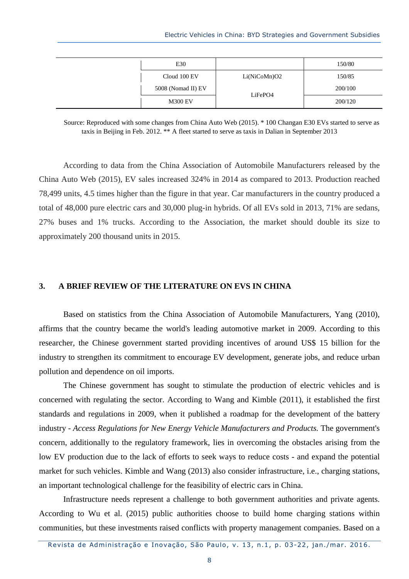|  | E30                |              | 150/80  |
|--|--------------------|--------------|---------|
|  | Cloud 100 EV       | Li(NiCoMn)O2 | 150/85  |
|  | 5008 (Nomad II) EV |              | 200/100 |
|  | <b>M300 EV</b>     | LiFePO4      | 200/120 |

Source: Reproduced with some changes from China Auto Web (2015). \* 100 Changan E30 EVs started to serve as taxis in Beijing in Feb. 2012. \*\* A fleet started to serve as taxis in Dalian in September 2013

According to data from the China Association of Automobile Manufacturers released by the China Auto Web (2015), EV sales increased 324% in 2014 as compared to 2013. Production reached 78,499 units, 4.5 times higher than the figure in that year. Car manufacturers in the country produced a total of 48,000 pure electric cars and 30,000 plug-in hybrids. Of all EVs sold in 2013, 71% are sedans, 27% buses and 1% trucks. According to the Association, the market should double its size to approximately 200 thousand units in 2015.

#### **3. A BRIEF REVIEW OF THE LITERATURE ON EVS IN CHINA**

Based on statistics from the China Association of Automobile Manufacturers, Yang (2010), affirms that the country became the world's leading automotive market in 2009. According to this researcher, the Chinese government started providing incentives of around US\$ 15 billion for the industry to strengthen its commitment to encourage EV development, generate jobs, and reduce urban pollution and dependence on oil imports.

The Chinese government has sought to stimulate the production of electric vehicles and is concerned with regulating the sector. According to Wang and Kimble (2011), it established the first standards and regulations in 2009, when it published a roadmap for the development of the battery industry - *Access Regulations for New Energy Vehicle Manufacturers and Products.* The government's concern, additionally to the regulatory framework, lies in overcoming the obstacles arising from the low EV production due to the lack of efforts to seek ways to reduce costs - and expand the potential market for such vehicles. Kimble and Wang (2013) also consider infrastructure, i.e., charging stations, an important technological challenge for the feasibility of electric cars in China.

Infrastructure needs represent a challenge to both government authorities and private agents. According to Wu et al. (2015) public authorities choose to build home charging stations within communities, but these investments raised conflicts with property management companies. Based on a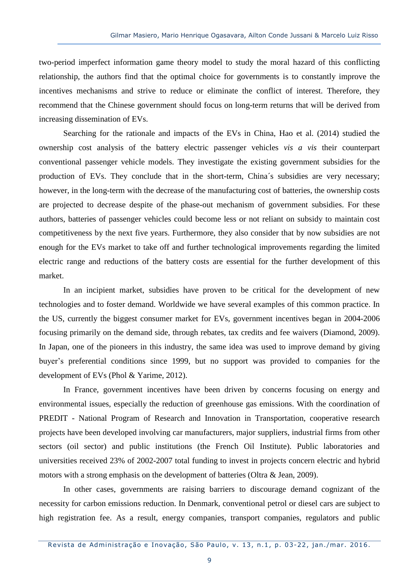two-period imperfect information game theory model to study the moral hazard of this conflicting relationship, the authors find that the optimal choice for governments is to constantly improve the incentives mechanisms and strive to reduce or eliminate the conflict of interest. Therefore, they recommend that the Chinese government should focus on long-term returns that will be derived from increasing dissemination of EVs.

Searching for the rationale and impacts of the EVs in China, Hao et al. (2014) studied the ownership cost analysis of the battery electric passenger vehicles *vis a vis* their counterpart conventional passenger vehicle models. They investigate the existing government subsidies for the production of EVs. They conclude that in the short-term, China´s subsidies are very necessary; however, in the long-term with the decrease of the manufacturing cost of batteries, the ownership costs are projected to decrease despite of the phase-out mechanism of government subsidies. For these authors, batteries of passenger vehicles could become less or not reliant on subsidy to maintain cost competitiveness by the next five years. Furthermore, they also consider that by now subsidies are not enough for the EVs market to take off and further technological improvements regarding the limited electric range and reductions of the battery costs are essential for the further development of this market.

In an incipient market, subsidies have proven to be critical for the development of new technologies and to foster demand. Worldwide we have several examples of this common practice. In the US, currently the biggest consumer market for EVs, government incentives began in 2004-2006 focusing primarily on the demand side, through rebates, tax credits and fee waivers (Diamond, 2009). In Japan, one of the pioneers in this industry, the same idea was used to improve demand by giving buyer's preferential conditions since 1999, but no support was provided to companies for the development of EVs (Phol & Yarime, 2012).

In France, government incentives have been driven by concerns focusing on energy and environmental issues, especially the reduction of greenhouse gas emissions. With the coordination of PREDIT - National Program of Research and Innovation in Transportation, cooperative research projects have been developed involving car manufacturers, major suppliers, industrial firms from other sectors (oil sector) and public institutions (the French Oil Institute). Public laboratories and universities received 23% of 2002-2007 total funding to invest in projects concern electric and hybrid motors with a strong emphasis on the development of batteries (Oltra & Jean, 2009).

In other cases, governments are raising barriers to discourage demand cognizant of the necessity for carbon emissions reduction. In Denmark, conventional petrol or diesel cars are subject to high registration fee. As a result, energy companies, transport companies, regulators and public

9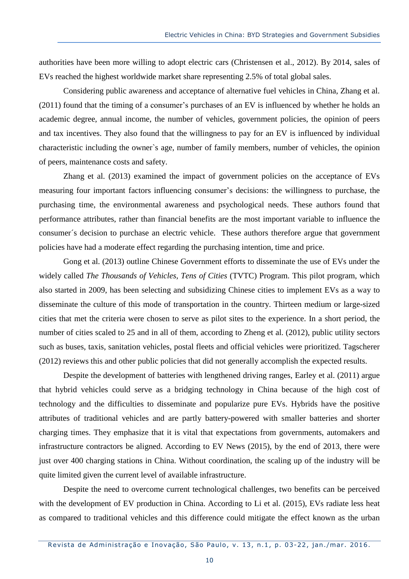authorities have been more willing to adopt electric cars (Christensen et al., 2012). By 2014, sales of EVs reached the highest worldwide market share representing 2.5% of total global sales.

Considering public awareness and acceptance of alternative fuel vehicles in China, Zhang et al. (2011) found that the timing of a consumer's purchases of an EV is influenced by whether he holds an academic degree, annual income, the number of vehicles, government policies, the opinion of peers and tax incentives. They also found that the willingness to pay for an EV is influenced by individual characteristic including the owner`s age, number of family members, number of vehicles, the opinion of peers, maintenance costs and safety.

Zhang et al. (2013) examined the impact of government policies on the acceptance of EVs measuring four important factors influencing consumer's decisions: the willingness to purchase, the purchasing time, the environmental awareness and psychological needs. These authors found that performance attributes, rather than financial benefits are the most important variable to influence the consumer´s decision to purchase an electric vehicle. These authors therefore argue that government policies have had a moderate effect regarding the purchasing intention, time and price.

Gong et al. (2013) outline Chinese Government efforts to disseminate the use of EVs under the widely called *The Thousands of Vehicles, Tens of Cities* (TVTC) Program. This pilot program, which also started in 2009, has been selecting and subsidizing Chinese cities to implement EVs as a way to disseminate the culture of this mode of transportation in the country. Thirteen medium or large-sized cities that met the criteria were chosen to serve as pilot sites to the experience. In a short period, the number of cities scaled to 25 and in all of them, according to Zheng et al. (2012), public utility sectors such as buses, taxis, sanitation vehicles, postal fleets and official vehicles were prioritized. Tagscherer (2012) reviews this and other public policies that did not generally accomplish the expected results.

Despite the development of batteries with lengthened driving ranges, Earley et al. (2011) argue that hybrid vehicles could serve as a bridging technology in China because of the high cost of technology and the difficulties to disseminate and popularize pure EVs. Hybrids have the positive attributes of traditional vehicles and are partly battery-powered with smaller batteries and shorter charging times. They emphasize that it is vital that expectations from governments, automakers and infrastructure contractors be aligned. According to EV News (2015), by the end of 2013, there were just over 400 charging stations in China. Without coordination, the scaling up of the industry will be quite limited given the current level of available infrastructure.

Despite the need to overcome current technological challenges, two benefits can be perceived with the development of EV production in China. According to Li et al. (2015), EVs radiate less heat as compared to traditional vehicles and this difference could mitigate the effect known as the urban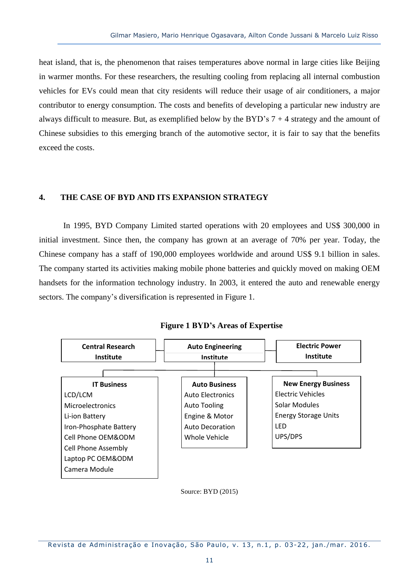heat island, that is, the phenomenon that raises temperatures above normal in large cities like Beijing in warmer months. For these researchers, the resulting cooling from replacing all internal combustion vehicles for EVs could mean that city residents will reduce their usage of air conditioners, a major contributor to energy consumption. The costs and benefits of developing a particular new industry are always difficult to measure. But, as exemplified below by the BYD's  $7 + 4$  strategy and the amount of Chinese subsidies to this emerging branch of the automotive sector, it is fair to say that the benefits exceed the costs.

#### **4. THE CASE OF BYD AND ITS EXPANSION STRATEGY**

In 1995, BYD Company Limited started operations with 20 employees and US\$ 300,000 in initial investment. Since then, the company has grown at an average of 70% per year. Today, the Chinese company has a staff of 190,000 employees worldwide and around US\$ 9.1 billion in sales. The company started its activities making mobile phone batteries and quickly moved on making OEM handsets for the information technology industry. In 2003, it entered the auto and renewable energy sectors. The company's diversification is represented in Figure 1.



**Figure 1 BYD's Areas of Expertise**

Source: BYD (2015)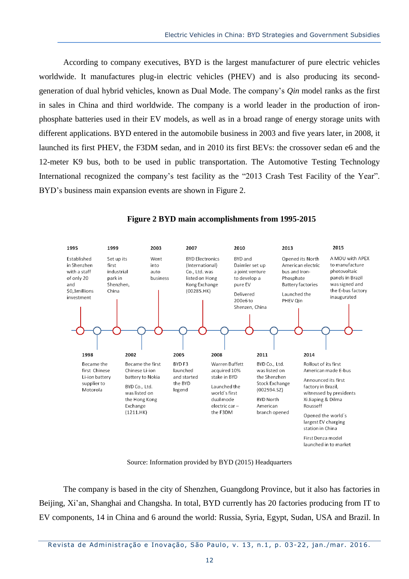According to company executives, BYD is the largest manufacturer of pure electric vehicles worldwide. It manufactures plug-in electric vehicles (PHEV) and is also producing its secondgeneration of dual hybrid vehicles, known as Dual Mode. The company's *Qin* model ranks as the first in sales in China and third worldwide. The company is a world leader in the production of ironphosphate batteries used in their EV models, as well as in a broad range of energy storage units with different applications. BYD entered in the automobile business in 2003 and five years later, in 2008, it launched its first PHEV, the F3DM sedan, and in 2010 its first BEVs: the crossover sedan e6 and the 12-meter K9 bus, both to be used in public transportation. The Automotive Testing Technology International recognized the company's test facility as the "2013 Crash Test Facility of the Year". BYD's business main expansion events are shown in Figure 2.



#### **Figure 2 BYD main accomplishments from 1995-2015**

Source: Information provided by BYD (2015) Headquarters

The company is based in the city of Shenzhen, Guangdong Province, but it also has factories in Beijing, Xi'an, Shanghai and Changsha. In total, BYD currently has 20 factories producing from IT to EV components, 14 in China and 6 around the world: Russia, Syria, Egypt, Sudan, USA and Brazil. In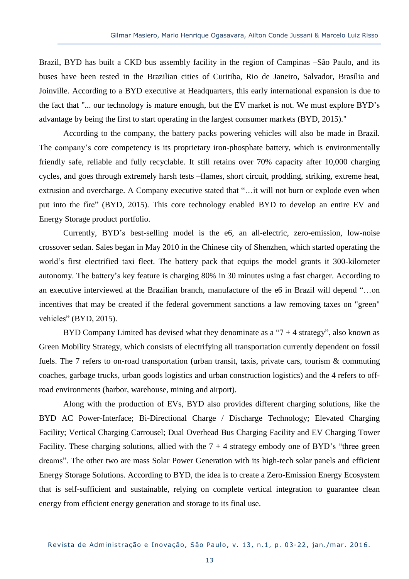Brazil, BYD has built a CKD bus assembly facility in the region of Campinas –São Paulo, and its buses have been tested in the Brazilian cities of Curitiba, Rio de Janeiro, Salvador, Brasília and Joinville. According to a BYD executive at Headquarters, this early international expansion is due to the fact that "... our technology is mature enough, but the EV market is not. We must explore BYD's advantage by being the first to start operating in the largest consumer markets (BYD, 2015)."

According to the company, the battery packs powering vehicles will also be made in Brazil. The company's core competency is its proprietary iron-phosphate battery, which is environmentally friendly safe, reliable and fully recyclable. It still retains over 70% capacity after 10,000 charging cycles, and goes through extremely harsh tests –flames, short circuit, prodding, striking, extreme heat, extrusion and overcharge. A Company executive stated that "…it will not burn or explode even when put into the fire" (BYD, 2015). This core technology enabled BYD to develop an entire EV and Energy Storage product portfolio.

Currently, BYD's best-selling model is the e6, an all-electric, zero-emission, low-noise crossover sedan. Sales began in May 2010 in the Chinese city of Shenzhen, which started operating the world's first electrified taxi fleet. The battery pack that equips the model grants it 300-kilometer autonomy. The battery's key feature is charging 80% in 30 minutes using a fast charger. According to an executive interviewed at the Brazilian branch, manufacture of the e6 in Brazil will depend "…on incentives that may be created if the federal government sanctions a law removing taxes on "green" vehicles" (BYD, 2015).

BYD Company Limited has devised what they denominate as a " $7 + 4$  strategy", also known as Green Mobility Strategy, which consists of electrifying all transportation currently dependent on fossil fuels. The 7 refers to on-road transportation (urban transit, taxis, private cars, tourism & commuting coaches, garbage trucks, urban goods logistics and urban construction logistics) and the 4 refers to offroad environments (harbor, warehouse, mining and airport).

Along with the production of EVs, BYD also provides different charging solutions, like the BYD AC Power-Interface; Bi-Directional Charge / Discharge Technology; Elevated Charging Facility; Vertical Charging Carrousel; Dual Overhead Bus Charging Facility and EV Charging Tower Facility. These charging solutions, allied with the  $7 + 4$  strategy embody one of BYD's "three green dreams". The other two are mass Solar Power Generation with its high-tech solar panels and efficient Energy Storage Solutions. According to BYD, the idea is to create a Zero-Emission Energy Ecosystem that is self-sufficient and sustainable, relying on complete vertical integration to guarantee clean energy from efficient energy generation and storage to its final use.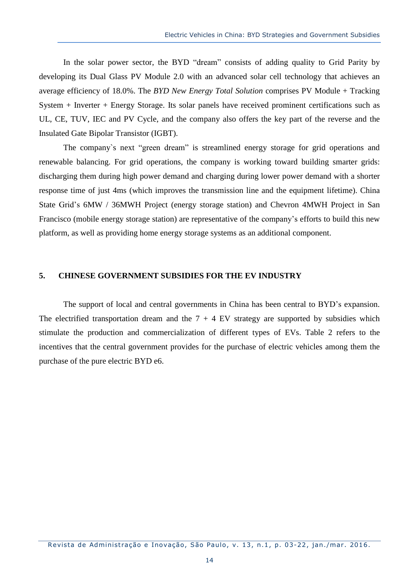In the solar power sector, the BYD "dream" consists of adding quality to Grid Parity by developing its Dual Glass PV Module 2.0 with an advanced solar cell technology that achieves an average efficiency of 18.0%. The *BYD New Energy Total Solution* comprises PV Module + Tracking System + Inverter + Energy Storage. Its solar panels have received prominent certifications such as UL, CE, TUV, IEC and PV Cycle, and the company also offers the key part of the reverse and the Insulated Gate Bipolar Transistor (IGBT).

The company`s next "green dream" is streamlined energy storage for grid operations and renewable balancing. For grid operations, the company is working toward building smarter grids: discharging them during high power demand and charging during lower power demand with a shorter response time of just 4ms (which improves the transmission line and the equipment lifetime). China State Grid's 6MW / 36MWH Project (energy storage station) and Chevron 4MWH Project in San Francisco (mobile energy storage station) are representative of the company's efforts to build this new platform, as well as providing home energy storage systems as an additional component.

#### **5. CHINESE GOVERNMENT SUBSIDIES FOR THE EV INDUSTRY**

The support of local and central governments in China has been central to BYD's expansion. The electrified transportation dream and the  $7 + 4$  EV strategy are supported by subsidies which stimulate the production and commercialization of different types of EVs. Table 2 refers to the incentives that the central government provides for the purchase of electric vehicles among them the purchase of the pure electric BYD e6.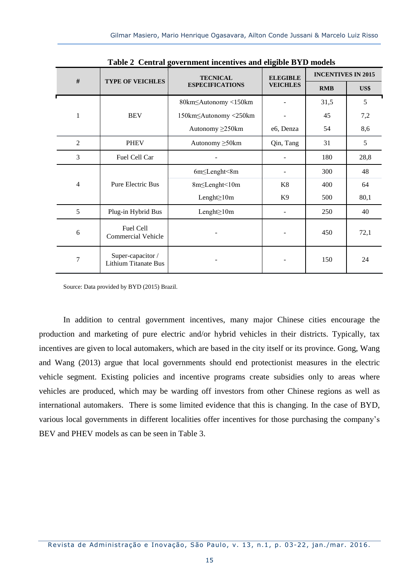| #              |                                           | <b>TECNICAL</b>                                                        | <b>ELEGIBLE</b> | <b>INCENTIVES IN 2015</b> |      |
|----------------|-------------------------------------------|------------------------------------------------------------------------|-----------------|---------------------------|------|
|                | <b>TYPE OF VEICHLES</b>                   | <b>ESPECIFICATIONS</b>                                                 | <b>VEICHLES</b> | <b>RMB</b>                | US\$ |
|                |                                           | 80km≤Autonomy <150km                                                   |                 | 31,5                      | 5    |
| $\mathbf{1}$   | <b>BEV</b>                                |                                                                        |                 | 45                        | 7,2  |
|                |                                           | Autonomy $\geq$ 250km                                                  | e6, Denza       | 54                        | 8,6  |
| $\overline{2}$ | <b>PHEV</b>                               | Autonomy $\geq$ 50km                                                   | Qin, Tang       | 31                        | 5    |
| 3              | Fuel Cell Car                             |                                                                        |                 | 180                       | 28,8 |
|                |                                           | 6m <lenght<8m< td=""><td></td><td>300</td><td>48</td></lenght<8m<>     |                 | 300                       | 48   |
| $\overline{4}$ | Pure Electric Bus                         | 8m <lenght<10m< td=""><td>K8</td><td>400</td><td>64</td></lenght<10m<> | K8              | 400                       | 64   |
|                |                                           | Lenght $\geq$ 10m                                                      | K <sub>9</sub>  | 500                       | 80,1 |
| 5              | Plug-in Hybrid Bus                        | Lenght $\geq$ 10m                                                      |                 | 250                       | 40   |
| 6              | Fuel Cell<br><b>Commercial Vehicle</b>    |                                                                        |                 | 450                       | 72,1 |
| 7              | Super-capacitor /<br>Lithium Titanate Bus |                                                                        |                 | 150                       | 24   |

**Table 2 Central government incentives and eligible BYD models**

Source: Data provided by BYD (2015) Brazil.

In addition to central government incentives, many major Chinese cities encourage the production and marketing of pure electric and/or hybrid vehicles in their districts. Typically, tax incentives are given to local automakers, which are based in the city itself or its province. Gong, Wang and Wang (2013) argue that local governments should end protectionist measures in the electric vehicle segment. Existing policies and incentive programs create subsidies only to areas where vehicles are produced, which may be warding off investors from other Chinese regions as well as international automakers. There is some limited evidence that this is changing. In the case of BYD, various local governments in different localities offer incentives for those purchasing the company's BEV and PHEV models as can be seen in Table 3.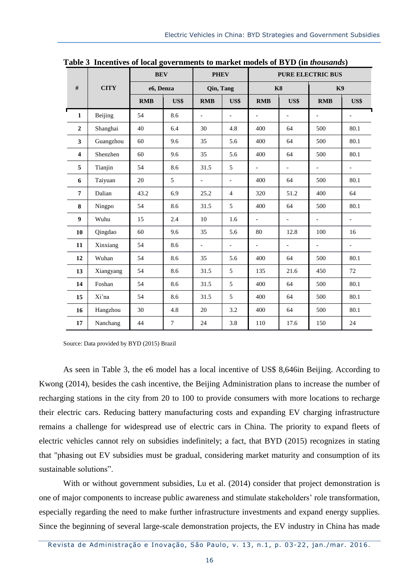|                         |           | <b>BEV</b> |                | <b>PHEV</b>              |                          | <b>PURE ELECTRIC BUS</b> |                          |                          |                          |
|-------------------------|-----------|------------|----------------|--------------------------|--------------------------|--------------------------|--------------------------|--------------------------|--------------------------|
| $\#$<br><b>CITY</b>     | e6, Denza |            | Qin, Tang      |                          | K8                       |                          | K <sub>9</sub>           |                          |                          |
|                         |           | <b>RMB</b> | US\$           | <b>RMB</b>               | US\$                     | <b>RMB</b>               | US\$                     | <b>RMB</b>               | US\$                     |
| $\mathbf{1}$            | Beijing   | 54         | 8.6            | $\overline{a}$           | $\frac{1}{2}$            | $\blacksquare$           | $\overline{\phantom{0}}$ | $\overline{a}$           | $\overline{a}$           |
| $\overline{2}$          | Shanghai  | 40         | 6.4            | 30                       | 4.8                      | 400                      | 64                       | 500                      | 80.1                     |
| 3                       | Guangzhou | 60         | 9.6            | 35                       | 5.6                      | 400                      | 64                       | 500                      | 80.1                     |
| $\overline{\mathbf{4}}$ | Shenzhen  | 60         | 9.6            | 35                       | 5.6                      | 400                      | 64                       | 500                      | 80.1                     |
| 5                       | Tianjin   | 54         | 8.6            | 31.5                     | 5                        | $\blacksquare$           | $\overline{\phantom{a}}$ | $\frac{1}{2}$            | $\overline{a}$           |
| 6                       | Taiyuan   | 20         | 5              | $\overline{\phantom{0}}$ | $\overline{\phantom{a}}$ | 400                      | 64                       | 500                      | 80.1                     |
| $7\phantom{.0}$         | Dalian    | 43.2       | 6.9            | 25.2                     | $\overline{4}$           | 320                      | 51.2                     | 400                      | 64                       |
| 8                       | Ningpo    | 54         | 8.6            | 31.5                     | 5                        | 400                      | 64                       | 500                      | 80.1                     |
| $\boldsymbol{9}$        | Wuhu      | 15         | 2.4            | $10\,$                   | 1.6                      | $\equiv$                 | $\equiv$                 | $\overline{\phantom{a}}$ | $\overline{\phantom{0}}$ |
| 10                      | Qingdao   | 60         | 9.6            | 35                       | 5.6                      | 80                       | 12.8                     | 100                      | 16                       |
| 11                      | Xinxiang  | 54         | 8.6            | $\overline{\phantom{a}}$ | $\frac{1}{2}$            | $\blacksquare$           | $\overline{\phantom{0}}$ | $\overline{a}$           | $\overline{a}$           |
| 12                      | Wuhan     | 54         | 8.6            | 35                       | 5.6                      | 400                      | 64                       | 500                      | 80.1                     |
| 13                      | Xiangyang | 54         | 8.6            | 31.5                     | 5                        | 135                      | 21.6                     | 450                      | 72                       |
| 14                      | Foshan    | 54         | 8.6            | 31.5                     | 5                        | 400                      | 64                       | 500                      | 80.1                     |
| 15                      | Xi'na     | 54         | 8.6            | 31.5                     | 5                        | 400                      | 64                       | 500                      | 80.1                     |
| 16                      | Hangzhou  | 30         | 4.8            | 20                       | 3.2                      | 400                      | 64                       | 500                      | 80.1                     |
| 17                      | Nanchang  | 44         | $\overline{7}$ | 24                       | 3.8                      | 110                      | 17.6                     | 150                      | 24                       |

**Table 3 Incentives of local governments to market models of BYD (in** *thousands***)**

Source: Data provided by BYD (2015) Brazil

As seen in Table 3, the e6 model has a local incentive of US\$ 8,646in Beijing. According to Kwong (2014), besides the cash incentive, the Beijing Administration plans to increase the number of recharging stations in the city from 20 to 100 to provide consumers with more locations to recharge their electric cars. Reducing battery manufacturing costs and expanding EV charging infrastructure remains a challenge for widespread use of electric cars in China. The priority to expand fleets of electric vehicles cannot rely on subsidies indefinitely; a fact, that BYD (2015) recognizes in stating that "phasing out EV subsidies must be gradual, considering market maturity and consumption of its sustainable solutions".

With or without government subsidies, Lu et al. (2014) consider that project demonstration is one of major components to increase public awareness and stimulate stakeholders' role transformation, especially regarding the need to make further infrastructure investments and expand energy supplies. Since the beginning of several large-scale demonstration projects, the EV industry in China has made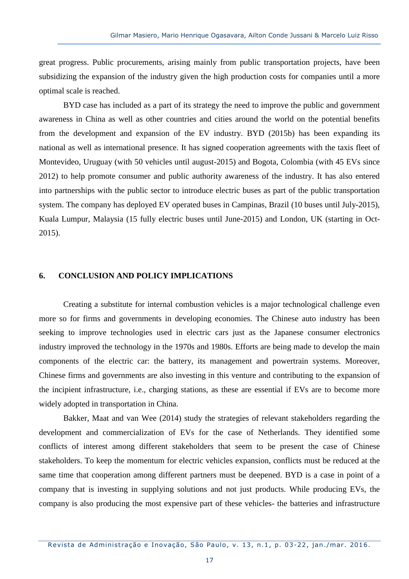great progress. Public procurements, arising mainly from public transportation projects, have been subsidizing the expansion of the industry given the high production costs for companies until a more optimal scale is reached.

BYD case has included as a part of its strategy the need to improve the public and government awareness in China as well as other countries and cities around the world on the potential benefits from the development and expansion of the EV industry. BYD (2015b) has been expanding its national as well as international presence. It has signed cooperation agreements with the taxis fleet of Montevideo, Uruguay (with 50 vehicles until august-2015) and Bogota, Colombia (with 45 EVs since 2012) to help promote consumer and public authority awareness of the industry. It has also entered into partnerships with the public sector to introduce electric buses as part of the public transportation system. The company has deployed EV operated buses in Campinas, Brazil (10 buses until July-2015), Kuala Lumpur, Malaysia (15 fully electric buses until June-2015) and London, UK (starting in Oct-2015).

#### **6. CONCLUSION AND POLICY IMPLICATIONS**

Creating a substitute for internal combustion vehicles is a major technological challenge even more so for firms and governments in developing economies. The Chinese auto industry has been seeking to improve technologies used in electric cars just as the Japanese consumer electronics industry improved the technology in the 1970s and 1980s. Efforts are being made to develop the main components of the electric car: the battery, its management and powertrain systems. Moreover, Chinese firms and governments are also investing in this venture and contributing to the expansion of the incipient infrastructure, i.e., charging stations, as these are essential if EVs are to become more widely adopted in transportation in China.

Bakker, Maat and van Wee (2014) study the strategies of relevant stakeholders regarding the development and commercialization of EVs for the case of Netherlands. They identified some conflicts of interest among different stakeholders that seem to be present the case of Chinese stakeholders. To keep the momentum for electric vehicles expansion, conflicts must be reduced at the same time that cooperation among different partners must be deepened. BYD is a case in point of a company that is investing in supplying solutions and not just products. While producing EVs, the company is also producing the most expensive part of these vehicles- the batteries and infrastructure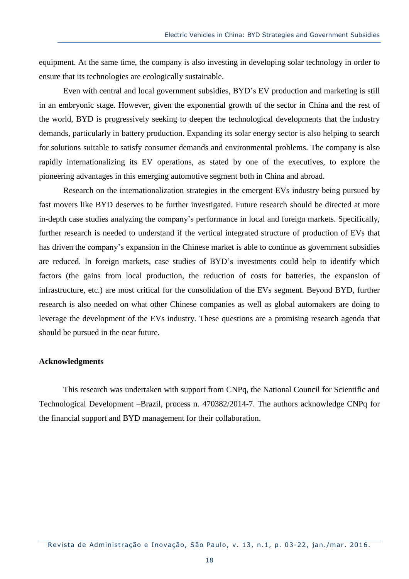equipment. At the same time, the company is also investing in developing solar technology in order to ensure that its technologies are ecologically sustainable.

Even with central and local government subsidies, BYD's EV production and marketing is still in an embryonic stage. However, given the exponential growth of the sector in China and the rest of the world, BYD is progressively seeking to deepen the technological developments that the industry demands, particularly in battery production. Expanding its solar energy sector is also helping to search for solutions suitable to satisfy consumer demands and environmental problems. The company is also rapidly internationalizing its EV operations, as stated by one of the executives, to explore the pioneering advantages in this emerging automotive segment both in China and abroad.

Research on the internationalization strategies in the emergent EVs industry being pursued by fast movers like BYD deserves to be further investigated. Future research should be directed at more in-depth case studies analyzing the company's performance in local and foreign markets. Specifically, further research is needed to understand if the vertical integrated structure of production of EVs that has driven the company's expansion in the Chinese market is able to continue as government subsidies are reduced. In foreign markets, case studies of BYD's investments could help to identify which factors (the gains from local production, the reduction of costs for batteries, the expansion of infrastructure, etc.) are most critical for the consolidation of the EVs segment. Beyond BYD, further research is also needed on what other Chinese companies as well as global automakers are doing to leverage the development of the EVs industry. These questions are a promising research agenda that should be pursued in the near future.

#### **Acknowledgments**

This research was undertaken with support from CNPq, the National Council for Scientific and Technological Development –Brazil, process n. 470382/2014-7. The authors acknowledge CNPq for the financial support and BYD management for their collaboration.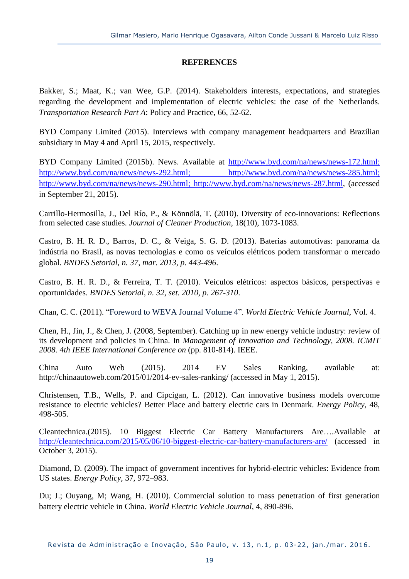# **REFERENCES**

Bakker, S.; Maat, K.; van Wee, G.P. (2014). Stakeholders interests, expectations, and strategies regarding the development and implementation of electric vehicles: the case of the Netherlands. *Transportation Research Part A*: Policy and Practice, 66, 52-62.

BYD Company Limited (2015). Interviews with company management headquarters and Brazilian subsidiary in May 4 and April 15, 2015, respectively.

BYD Company Limited (2015b). News. Available at [http://www.byd.com/na/news/news-172.html;](http://www.byd.com/na/news/news-172.html;%2520http:/www.byd.com/na/news/news-292.html) [http://www.byd.com/na/news/news-292.html;](http://www.byd.com/na/news/news-172.html;%2520http:/www.byd.com/na/news/news-292.html) [http://www.byd.com/na/news/news-285.html;](http://www.byd.com/na/news/news-285.html;%2520http:/www.byd.com/na/news/news-290.html) [http://www.byd.com/na/news/news-290.html;](http://www.byd.com/na/news/news-285.html;%2520http:/www.byd.com/na/news/news-290.html) [http://www.byd.com/na/news/news-287.html,](http://www.byd.com/na/news/news-287.html) (accessed in September 21, 2015).

Carrillo-Hermosilla, J., Del Río, P., & Könnölä, T. (2010). Diversity of eco-innovations: Reflections from selected case studies. *Journal of Cleaner Production*, 18(10), 1073-1083.

Castro, B. H. R. D., Barros, D. C., & Veiga, S. G. D. (2013). Baterias automotivas: panorama da indústria no Brasil, as novas tecnologias e como os veículos elétricos podem transformar o mercado global. *BNDES Setorial, n. 37, mar. 2013, p. 443-496*.

Castro, B. H. R. D., & Ferreira, T. T. (2010). Veículos elétricos: aspectos básicos, perspectivas e oportunidades. *BNDES Setorial, n. 32, set. 2010, p. 267-310*.

Chan, C. C. (2011). "Foreword to WEVA Journal Volume 4". *World Electric Vehicle Journal,* Vol. 4.

Chen, H., Jin, J., & Chen, J. (2008, September). Catching up in new energy vehicle industry: review of its development and policies in China. In *Management of Innovation and Technology, 2008. ICMIT 2008. 4th IEEE International Conference on* (pp. 810-814). IEEE.

China Auto Web (2015). 2014 EV Sales Ranking, available at: http://chinaautoweb.com/2015/01/2014-ev-sales-ranking/ (accessed in May 1, 2015).

Christensen, T.B., Wells, P. and Cipcigan, L. (2012). Can innovative business models overcome resistance to electric vehicles? Better Place and battery electric cars in Denmark. *Energy Policy,* 48, 498-505.

Cleantechnica.(2015). 10 Biggest Electric Car Battery Manufacturers Are….Available at <http://cleantechnica.com/2015/05/06/10-biggest-electric-car-battery-manufacturers-are/> (accessed in October 3, 2015).

Diamond, D. (2009). The impact of government incentives for hybrid-electric vehicles: Evidence from US states. *Energy Policy,* 37, 972–983.

Du; J.; Ouyang, M; Wang, H. (2010). Commercial solution to mass penetration of first generation battery electric vehicle in China. *World Electric Vehicle Journal,* 4, 890-896.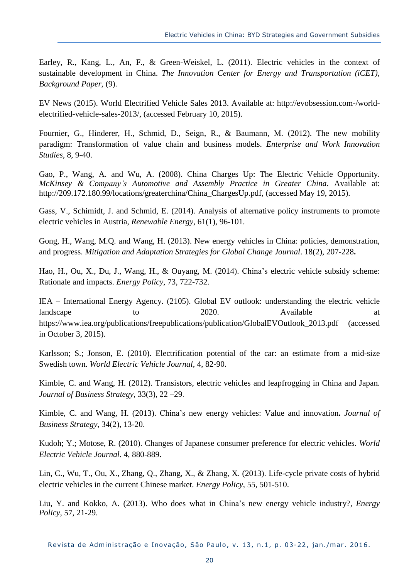Earley, R., Kang, L., An, F., & Green-Weiskel, L. (2011). Electric vehicles in the context of sustainable development in China. *The Innovation Center for Energy and Transportation (iCET), Background Paper,* (9).

EV News (2015). World Electrified Vehicle Sales 2013. Available at: http://evobsession.com-/worldelectrified-vehicle-sales-2013/, (accessed February 10, 2015).

Fournier, G., Hinderer, H., Schmid, D., Seign, R., & Baumann, M. (2012). The new mobility paradigm: Transformation of value chain and business models. *Enterprise and Work Innovation Studies*, 8, 9-40.

Gao, P., Wang, A. and Wu, A. (2008). China Charges Up: The Electric Vehicle Opportunity. *McKinsey & Company's Automotive and Assembly Practice in Greater China*. Available at: http://209.172.180.99/locations/greaterchina/China\_ChargesUp.pdf, (accessed May 19, 2015).

Gass, V., Schimidt, J. and Schmid, E. (2014). Analysis of alternative policy instruments to promote electric vehicles in Austria, *Renewable Energy*, 61(1), 96-101.

Gong, H., Wang, M.Q. and Wang, H. (2013). New energy vehicles in China: policies, demonstration, and progress. *Mitigation and Adaptation Strategies for Global Change Journal*. 18(2), 207-228**.**

Hao, H., Ou, X., Du, J., Wang, H., & Ouyang, M. (2014). China's electric vehicle subsidy scheme: Rationale and impacts. *Energy Policy*, 73, 722-732.

IEA – International Energy Agency. (2105). Global EV outlook: understanding the electric vehicle landscape to to 2020. Available at https://www.iea.org/publications/freepublications/publication/GlobalEVOutlook\_2013.pdf (accessed in October 3, 2015).

Karlsson; S.; Jonson, E. (2010). Electrification potential of the car: an estimate from a mid-size Swedish town. *World Electric Vehicle Journal,* 4, 82-90.

Kimble, C. and Wang, H. (2012). Transistors, electric vehicles and leapfrogging in China and Japan. *Journal of Business Strategy*, 33(3), 22 –29.

Kimble, C. and Wang, H. (2013). China's new energy vehicles: Value and innovation**.** *Journal of Business Strategy*, 34(2), 13-20.

Kudoh; Y.; Motose, R. (2010). Changes of Japanese consumer preference for electric vehicles. *World Electric Vehicle Journal*. 4, 880-889.

Lin, C., Wu, T., Ou, X., Zhang, Q., Zhang, X., & Zhang, X. (2013). Life-cycle private costs of hybrid electric vehicles in the current Chinese market. *Energy Policy*, 55, 501-510.

Liu, Y. and Kokko, A. (2013). Who does what in China's new energy vehicle industry?, *Energy Policy*, 57, 21-29.

Revista de Administração e Inovação, São Paulo, v. 13, n.1, p. 03-22, jan./mar. 2016.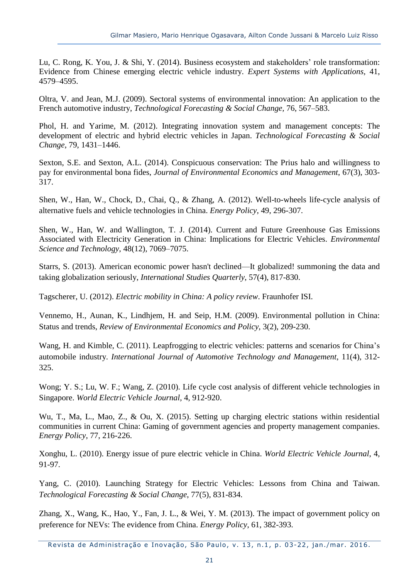Lu, C. Rong, K. You, J. & Shi, Y. (2014). Business ecosystem and stakeholders' role transformation: Evidence from Chinese emerging electric vehicle industry. *Expert Systems with Applications,* 41, 4579–4595.

Oltra, V. and Jean, M.J. (2009). Sectoral systems of environmental innovation: An application to the French automotive industry, *Technological Forecasting & Social Change,* 76, 567–583.

Phol, H. and Yarime, M. (2012). Integrating innovation system and management concepts: The development of electric and hybrid electric vehicles in Japan. *Technological Forecasting & Social Change*, 79, 1431–1446.

Sexton, S.E. and Sexton, A.L. (2014). Conspicuous conservation: The Prius halo and willingness to pay for environmental bona fides, *Journal of Environmental Economics and Management*, 67(3), 303- 317.

Shen, W., Han, W., Chock, D., Chai, Q., & Zhang, A. (2012). Well-to-wheels life-cycle analysis of alternative fuels and vehicle technologies in China. *Energy Policy*, 49, 296-307.

Shen, W., Han, W. and Wallington, T. J. (2014). Current and Future Greenhouse Gas Emissions Associated with Electricity Generation in China: Implications for Electric Vehicles. *Environmental Science and Technology*, 48(12), 7069–7075.

Starrs, S. (2013). American economic power hasn't declined—It globalized! summoning the data and taking globalization seriously, *International Studies Quarterly*, 57(4), 817-830.

Tagscherer, U. (2012). *Electric mobility in China: A policy review*. Fraunhofer ISI.

Vennemo, H., Aunan, K., Lindhjem, H. and Seip, H.M. (2009). Environmental pollution in China: Status and trends, *Review of Environmental Economics and Policy,* 3(2), 209-230.

Wang, H. and Kimble, C. (2011). Leapfrogging to electric vehicles: patterns and scenarios for China's automobile industry. *International Journal of Automotive Technology and Management*, 11(4), 312- 325.

Wong; Y. S.; Lu, W. F.; Wang, Z. (2010). Life cycle cost analysis of different vehicle technologies in Singapore. *World Electric Vehicle Journal,* 4, 912-920.

Wu, T., Ma, L., Mao, Z., & Ou, X. (2015). Setting up charging electric stations within residential communities in current China: Gaming of government agencies and property management companies. *Energy Policy*, 77, 216-226.

Xonghu, L. (2010). Energy issue of pure electric vehicle in China. *World Electric Vehicle Journal*, 4, 91-97.

Yang, C. (2010). Launching Strategy for Electric Vehicles: Lessons from China and Taiwan. *Technological Forecasting & Social Change*, 77(5), 831-834.

Zhang, X., Wang, K., Hao, Y., Fan, J. L., & Wei, Y. M. (2013). The impact of government policy on preference for NEVs: The evidence from China. *Energy Policy*, 61, 382-393.

Revista de Administração e Inovação, São Paulo, v. 13, n.1, p. 03-22, jan./mar. 2016.